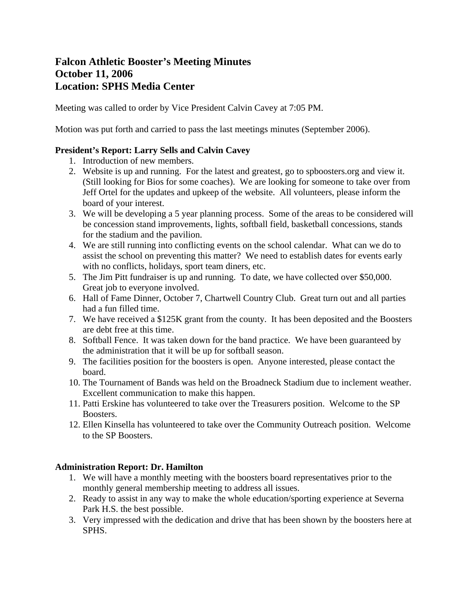# **Falcon Athletic Booster's Meeting Minutes October 11, 2006 Location: SPHS Media Center**

Meeting was called to order by Vice President Calvin Cavey at 7:05 PM.

Motion was put forth and carried to pass the last meetings minutes (September 2006).

## **President's Report: Larry Sells and Calvin Cavey**

- 1. Introduction of new members.
- 2. Website is up and running. For the latest and greatest, go to spboosters.org and view it. (Still looking for Bios for some coaches). We are looking for someone to take over from Jeff Ortel for the updates and upkeep of the website. All volunteers, please inform the board of your interest.
- 3. We will be developing a 5 year planning process. Some of the areas to be considered will be concession stand improvements, lights, softball field, basketball concessions, stands for the stadium and the pavilion.
- 4. We are still running into conflicting events on the school calendar. What can we do to assist the school on preventing this matter? We need to establish dates for events early with no conflicts, holidays, sport team diners, etc.
- 5. The Jim Pitt fundraiser is up and running. To date, we have collected over \$50,000. Great job to everyone involved.
- 6. Hall of Fame Dinner, October 7, Chartwell Country Club. Great turn out and all parties had a fun filled time.
- 7. We have received a \$125K grant from the county. It has been deposited and the Boosters are debt free at this time.
- 8. Softball Fence. It was taken down for the band practice. We have been guaranteed by the administration that it will be up for softball season.
- 9. The facilities position for the boosters is open. Anyone interested, please contact the board.
- 10. The Tournament of Bands was held on the Broadneck Stadium due to inclement weather. Excellent communication to make this happen.
- 11. Patti Erskine has volunteered to take over the Treasurers position. Welcome to the SP Boosters.
- 12. Ellen Kinsella has volunteered to take over the Community Outreach position. Welcome to the SP Boosters.

# **Administration Report: Dr. Hamilton**

- 1. We will have a monthly meeting with the boosters board representatives prior to the monthly general membership meeting to address all issues.
- 2. Ready to assist in any way to make the whole education/sporting experience at Severna Park H.S. the best possible.
- 3. Very impressed with the dedication and drive that has been shown by the boosters here at SPHS.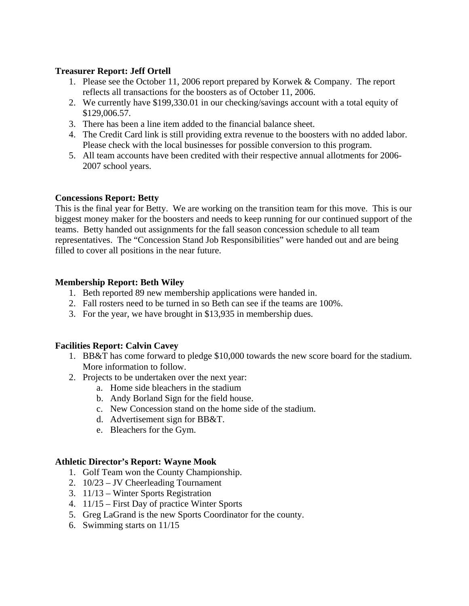## **Treasurer Report: Jeff Ortell**

- 1. Please see the October 11, 2006 report prepared by Korwek & Company. The report reflects all transactions for the boosters as of October 11, 2006.
- 2. We currently have \$199,330.01 in our checking/savings account with a total equity of \$129,006.57.
- 3. There has been a line item added to the financial balance sheet.
- 4. The Credit Card link is still providing extra revenue to the boosters with no added labor. Please check with the local businesses for possible conversion to this program.
- 5. All team accounts have been credited with their respective annual allotments for 2006- 2007 school years.

## **Concessions Report: Betty**

This is the final year for Betty. We are working on the transition team for this move. This is our biggest money maker for the boosters and needs to keep running for our continued support of the teams. Betty handed out assignments for the fall season concession schedule to all team representatives. The "Concession Stand Job Responsibilities" were handed out and are being filled to cover all positions in the near future.

#### **Membership Report: Beth Wiley**

- 1. Beth reported 89 new membership applications were handed in.
- 2. Fall rosters need to be turned in so Beth can see if the teams are 100%.
- 3. For the year, we have brought in \$13,935 in membership dues.

#### **Facilities Report: Calvin Cavey**

- 1. BB&T has come forward to pledge \$10,000 towards the new score board for the stadium. More information to follow.
- 2. Projects to be undertaken over the next year:
	- a. Home side bleachers in the stadium
	- b. Andy Borland Sign for the field house.
	- c. New Concession stand on the home side of the stadium.
	- d. Advertisement sign for BB&T.
	- e. Bleachers for the Gym.

# **Athletic Director's Report: Wayne Mook**

- 1. Golf Team won the County Championship.
- 2. 10/23 JV Cheerleading Tournament
- 3. 11/13 Winter Sports Registration
- 4. 11/15 First Day of practice Winter Sports
- 5. Greg LaGrand is the new Sports Coordinator for the county.
- 6. Swimming starts on 11/15